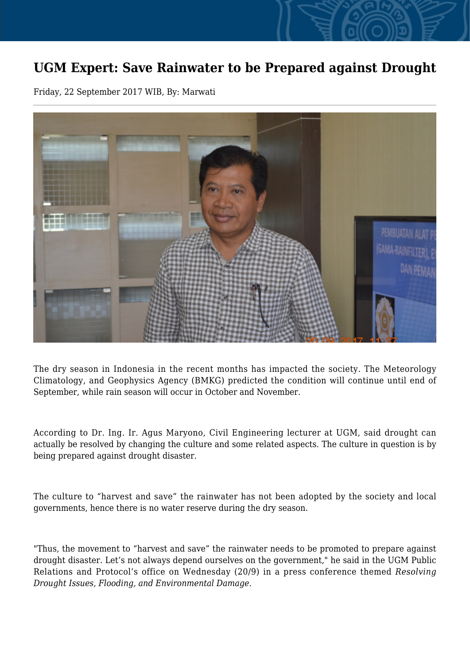## **UGM Expert: Save Rainwater to be Prepared against Drought**

Friday, 22 September 2017 WIB, By: Marwati



The dry season in Indonesia in the recent months has impacted the society. The Meteorology Climatology, and Geophysics Agency (BMKG) predicted the condition will continue until end of September, while rain season will occur in October and November.

According to Dr. Ing. Ir. Agus Maryono, Civil Engineering lecturer at UGM, said drought can actually be resolved by changing the culture and some related aspects. The culture in question is by being prepared against drought disaster.

The culture to "harvest and save" the rainwater has not been adopted by the society and local governments, hence there is no water reserve during the dry season.

"Thus, the movement to "harvest and save" the rainwater needs to be promoted to prepare against drought disaster. Let's not always depend ourselves on the government," he said in the UGM Public Relations and Protocol's office on Wednesday (20/9) in a press conference themed *Resolving Drought Issues, Flooding, and Environmental Damage*.